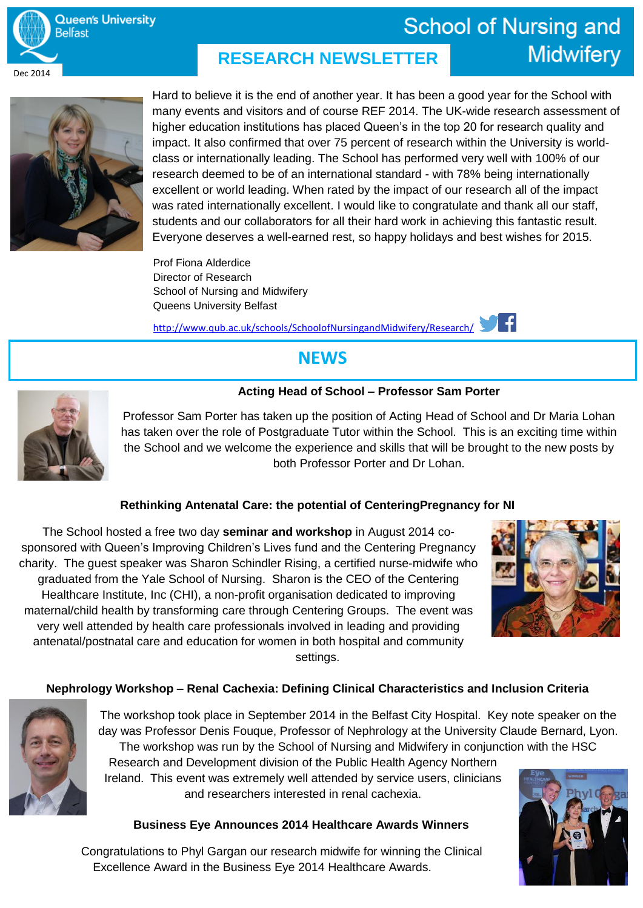

### **School of Nursing and Midwifery RESEARCH NEWSLETTER**



Hard to believe it is the end of another year. It has been a good year for the School with many events and visitors and of course REF 2014. The UK-wide research assessment of higher education institutions has placed Queen's in the top 20 for research quality and impact. It also confirmed that over 75 percent of research within the University is worldclass or internationally leading. The School has performed very well with 100% of our research deemed to be of an international standard - with 78% being internationally excellent or world leading. When rated by the impact of our research all of the impact was rated internationally excellent. I would like to congratulate and thank all our staff, students and our collaborators for all their hard work in achieving this fantastic result. Everyone deserves a well-earned rest, so happy holidays and best wishes for 2015.

Prof Fiona Alderdice Director of Research School of Nursing and Midwifery Queens University Belfast

http://www.qub.ac.uk/schools/SchoolofNursingandMidwifery/Research/

# **NEWS**

### **Acting Head of School – Professor Sam Porter**



Professor Sam Porter has taken up the position of Acting Head of School and Dr Maria Lohan has taken over the role of Postgraduate Tutor within the School. This is an exciting time within the School and we welcome the experience and skills that will be brought to the new posts by both Professor Porter and Dr Lohan.

### **Rethinking Antenatal Care: the potential of CenteringPregnancy for NI**

The School hosted a free two day **seminar and workshop** in August 2014 cosponsored with Queen's Improving Children's Lives fund and the Centering Pregnancy charity. The guest speaker was Sharon Schindler Rising, a certified nurse-midwife who graduated from the Yale School of Nursing. Sharon is the CEO of the Centering Healthcare Institute, Inc (CHI), a non-profit organisation dedicated to improving maternal/child health by transforming care through Centering Groups. The event was very well attended by health care professionals involved in leading and providing antenatal/postnatal care and education for women in both hospital and community settings.



### **Nephrology Workshop – Renal Cachexia: Defining Clinical Characteristics and Inclusion Criteria**



The workshop took place in September 2014 in the Belfast City Hospital. Key note speaker on the day was Professor Denis Fouque, Professor of Nephrology at the University Claude Bernard, Lyon. The workshop was run by the School of Nursing and Midwifery in conjunction with the HSC

Research and Development division of the Public Health Agency Northern Ireland. This event was extremely well attended by service users, clinicians and researchers interested in renal cachexia.

### **Business Eye Announces 2014 Healthcare Awards Winners**

Congratulations to Phyl Gargan our research midwife for winning the Clinical Excellence Award in the Business Eye 2014 Healthcare Awards.

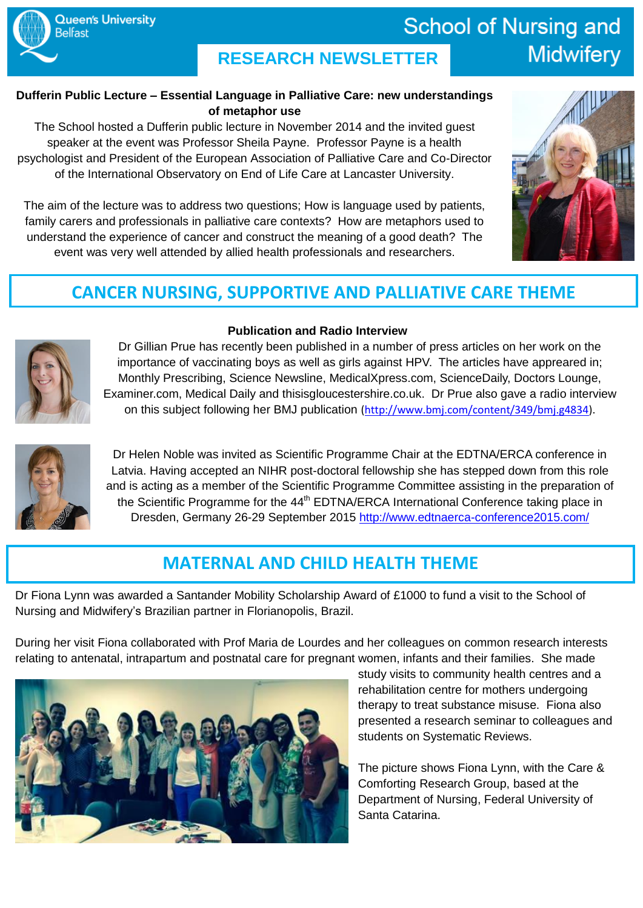### **Dufferin Public Lecture – Essential Language in Palliative Care: new understandings of metaphor use**

The School hosted a Dufferin public lecture in November 2014 and the invited guest speaker at the event was Professor Sheila Payne. Professor Payne is a health psychologist and President of the European Association of Palliative Care and Co-Director of the International Observatory on End of Life Care at Lancaster University.

The aim of the lecture was to address two questions; How is language used by patients, family carers and professionals in palliative care contexts? How are metaphors used to understand the experience of cancer and construct the meaning of a good death? The event was very well attended by allied health professionals and researchers.

# **CANCER NURSING, SUPPORTIVE AND PALLIATIVE CARE THEME**

**Queen's University** 

**Belfast** 

### **Publication and Radio Interview**

Dr Gillian Prue has recently been published in a number of press articles on her work on the importance of vaccinating boys as well as girls against HPV. The articles have appreared in: Monthly Prescribing, Science Newsline, MedicalXpress.com, ScienceDaily, Doctors Lounge, Examiner.com, Medical Daily and thisisgloucestershire.co.uk. Dr Prue also gave a radio interview on this subject following her BMJ publication [\(http://www.bmj.com/content/349/bmj.g4834\)](http://www.bmj.com/content/349/bmj.g4834).



Dr Helen Noble was invited as Scientific Programme Chair at the EDTNA/ERCA conference in Latvia. Having accepted an NIHR post-doctoral fellowship she has stepped down from this role and is acting as a member of the Scientific Programme Committee assisting in the preparation of the Scientific Programme for the 44<sup>th</sup> EDTNA/ERCA International Conference taking place in Dresden, Germany 26-29 September 2015<http://www.edtnaerca-conference2015.com/>

# **MATERNAL AND CHILD HEALTH THEME**

Dr Fiona Lynn was awarded a Santander Mobility Scholarship Award of £1000 to fund a visit to the School of Nursing and Midwifery's Brazilian partner in Florianopolis, Brazil.

During her visit Fiona collaborated with Prof Maria de Lourdes and her colleagues on common research interests relating to antenatal, intrapartum and postnatal care for pregnant women, infants and their families. She made



study visits to community health centres and a rehabilitation centre for mothers undergoing therapy to treat substance misuse. Fiona also presented a research seminar to colleagues and students on Systematic Reviews.

The picture shows Fiona Lynn, with the Care & Comforting Research Group, based at the Department of Nursing, Federal University of Santa Catarina.

# **School of Nursing and Midwifery**

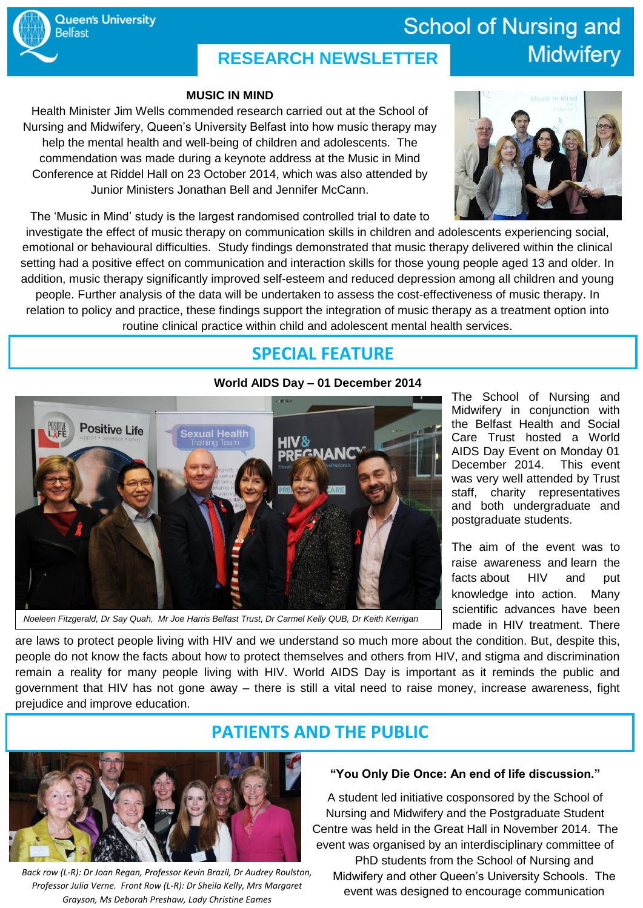#### **MUSIC IN MIND**

Health Minister Jim Wells commended research carried out at the School of Nursing and Midwifery, Queen's University Belfast into how music therapy may help the mental health and well-being of children and adolescents. The commendation was made during a keynote address at the Music in Mind Conference at Riddel Hall on 23 October 2014, which was also attended by Junior Ministers Jonathan Bell and Jennifer McCann.



**Midwifery** 

**School of Nursing and** 

The 'Music in Mind' study is the largest randomised controlled trial to date to

investigate the effect of music therapy on communication skills in children and adolescents experiencing social, emotional or behavioural difficulties. Study findings demonstrated that music therapy delivered within the clinical setting had a positive effect on communication and interaction skills for those young people aged 13 and older. In addition, music therapy significantly improved self-esteem and reduced depression among all children and young people. Further analysis of the data will be undertaken to assess the cost-effectiveness of music therapy. In relation to policy and practice, these findings support the integration of music therapy as a treatment option into routine clinical practice within child and adolescent mental health services.

# **SPECIAL FEATURE**

### **World AIDS Day – 01 December 2014**



The School of Nursing and Midwifery in conjunction with the Belfast Health and Social Care Trust hosted a World AIDS Day Event on Monday 01 December 2014. This event was very well attended by Trust staff, charity representatives and both undergraduate and postgraduate students.

The aim of the event was to raise awareness and [learn](http://www.worldaidsday.org/about-hiv.php) the [facts](http://www.worldaidsday.org/about-hiv.php) about HIV and put [knowledge](http://www.worldaidsday.org/act-aware.php) into action. Many scientific advances have been made in HIV treatment. There

*Noeleen Fitzgerald, Dr Say Quah, Mr Joe Harris Belfast Trust, Dr Carmel Kelly QUB, Dr Keith Kerrigan*

are laws to protect people living with HIV and we understand so much more about the condition. But, despite this, people do not know the facts about how to protect themselves and others from HIV, and stigma and discrimination remain a reality for many people living with HIV. World AIDS Day is important as it reminds the public and government that HIV has not gone away – there is still a vital need to raise money, increase awareness, fight prejudice and improve education.



*Back row (L-R): Dr Joan Regan, Professor Kevin Brazil, Dr Audrey Roulston, Professor Julia Verne. Front Row (L-R): Dr Sheila Kelly, Mrs Margaret Grayson, Ms Deborah Preshaw, Lady Christine Eames*

### **PATIENTS AND THE PUBLIC**

#### **"You Only Die Once: An end of life discussion."**

A student led initiative cosponsored by the School of Nursing and Midwifery and the Postgraduate Student Centre was held in the Great Hall in November 2014. The event was organised by an interdisciplinary committee of

PhD students from the School of Nursing and Midwifery and other Queen's University Schools. The event was designed to encourage communication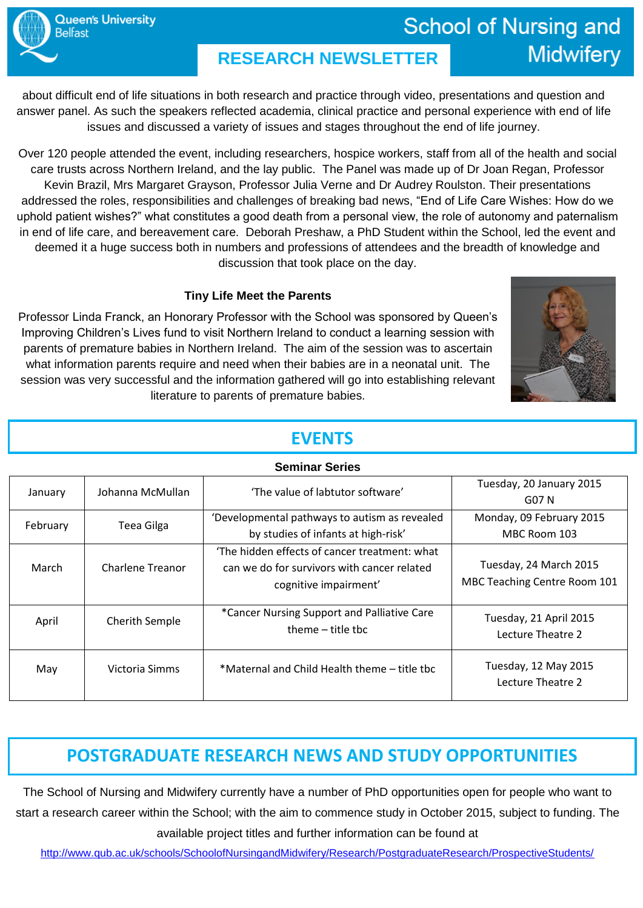# **School of Nursing and Midwifery**

about difficult end of life situations in both research and practice through video, presentations and question and answer panel. As such the speakers reflected academia, clinical practice and personal experience with end of life issues and discussed a variety of issues and stages throughout the end of life journey.

Over 120 people attended the event, including researchers, hospice workers, staff from all of the health and social care trusts across Northern Ireland, and the lay public. The Panel was made up of Dr Joan Regan, Professor Kevin Brazil, Mrs Margaret Grayson, Professor Julia Verne and Dr Audrey Roulston. Their presentations addressed the roles, responsibilities and challenges of breaking bad news, "End of Life Care Wishes: How do we uphold patient wishes?" what constitutes a good death from a personal view, the role of autonomy and paternalism in end of life care, and bereavement care. Deborah Preshaw, a PhD Student within the School, led the event and deemed it a huge success both in numbers and professions of attendees and the breadth of knowledge and discussion that took place on the day.

### **Tiny Life Meet the Parents**

Professor Linda Franck, an Honorary Professor with the School was sponsored by Queen's Improving Children's Lives fund to visit Northern Ireland to conduct a learning session with parents of premature babies in Northern Ireland. The aim of the session was to ascertain what information parents require and need when their babies are in a neonatal unit. The session was very successful and the information gathered will go into establishing relevant literature to parents of premature babies.



### **EVENTS**

| <b>Seminar Series</b> |                   |                                                                                                                       |                                                        |
|-----------------------|-------------------|-----------------------------------------------------------------------------------------------------------------------|--------------------------------------------------------|
| January               | Johanna McMullan  | 'The value of labtutor software'                                                                                      | Tuesday, 20 January 2015                               |
|                       |                   |                                                                                                                       | G07 N                                                  |
| February              | <b>Teea Gilga</b> | 'Developmental pathways to autism as revealed                                                                         | Monday, 09 February 2015                               |
|                       |                   | by studies of infants at high-risk'                                                                                   | MBC Room 103                                           |
| March                 | Charlene Treanor  | 'The hidden effects of cancer treatment: what<br>can we do for survivors with cancer related<br>cognitive impairment' | Tuesday, 24 March 2015<br>MBC Teaching Centre Room 101 |
| April                 | Cherith Semple    | *Cancer Nursing Support and Palliative Care<br>theme $-$ title tbc                                                    | Tuesday, 21 April 2015<br>Lecture Theatre 2            |
| May                   | Victoria Simms    | *Maternal and Child Health theme - title tbc                                                                          | Tuesday, 12 May 2015<br>Lecture Theatre 2              |

# **POSTGRADUATE RESEARCH NEWS AND STUDY OPPORTUNITIES**

The School of Nursing and Midwifery currently have a number of PhD opportunities open for people who want to start a research career within the School; with the aim to commence study in October 2015, subject to funding. The available project titles and further information can be found at

<http://www.qub.ac.uk/schools/SchoolofNursingandMidwifery/Research/PostgraduateResearch/ProspectiveStudents/>